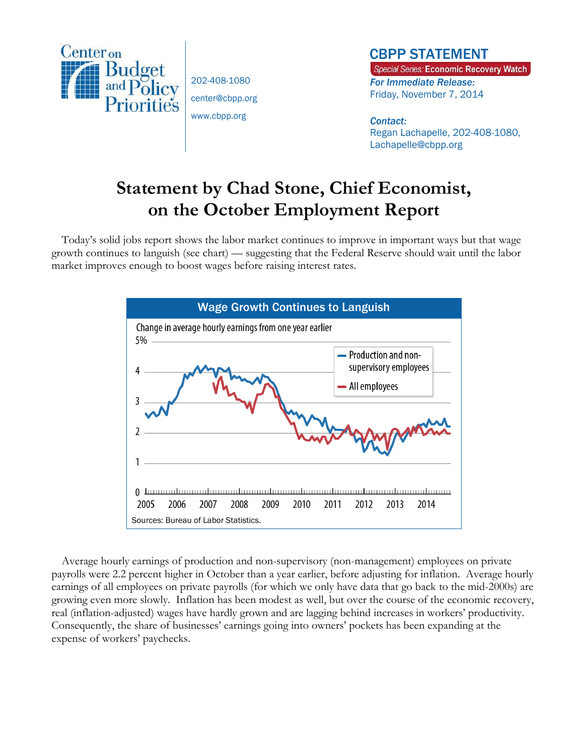

202-408-1080 center@cbpp.org www.cbpp.org

## CBPP STATEMENT

Special Series: Economic Recovery Watch *For Immediate Release:*  Friday, November 7, 2014

### *Contact:*  Regan Lachapelle, 202-408-1080, Lachapelle@cbpp.org

# **Statement by Chad Stone, Chief Economist, on the October Employment Report**

Today's solid jobs report shows the labor market continues to improve in important ways but that wage growth continues to languish (see chart) — suggesting that the Federal Reserve should wait until the labor market improves enough to boost wages before raising interest rates.



Average hourly earnings of production and non-supervisory (non-management) employees on private payrolls were 2.2 percent higher in October than a year earlier, before adjusting for inflation. Average hourly earnings of all employees on private payrolls (for which we only have data that go back to the mid-2000s) are growing even more slowly. Inflation has been modest as well, but over the course of the economic recovery, real (inflation-adjusted) wages have hardly grown and are lagging behind increases in workers' productivity. Consequently, the share of businesses' earnings going into owners' pockets has been expanding at the expense of workers' paychecks.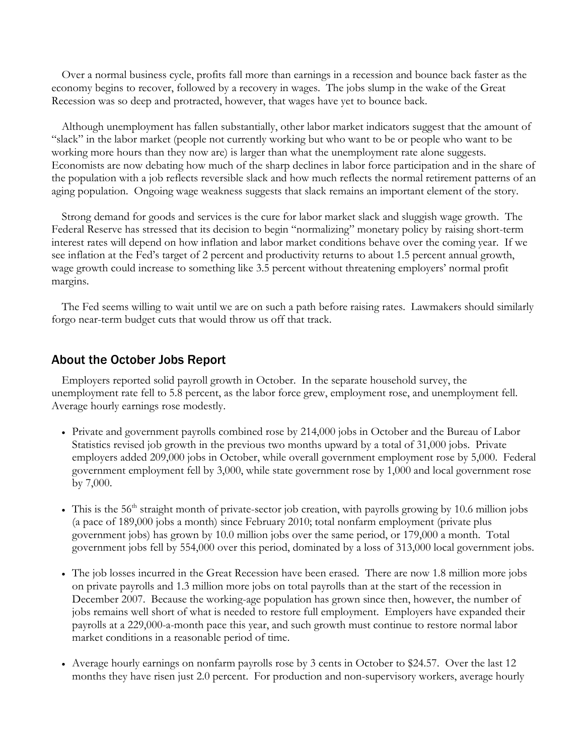Over a normal business cycle, profits fall more than earnings in a recession and bounce back faster as the economy begins to recover, followed by a recovery in wages. The jobs slump in the wake of the Great Recession was so deep and protracted, however, that wages have yet to bounce back.

Although unemployment has fallen substantially, other labor market indicators suggest that the amount of "slack" in the labor market (people not currently working but who want to be or people who want to be working more hours than they now are) is larger than what the unemployment rate alone suggests. Economists are now debating how much of the sharp declines in labor force participation and in the share of the population with a job reflects reversible slack and how much reflects the normal retirement patterns of an aging population. Ongoing wage weakness suggests that slack remains an important element of the story.

Strong demand for goods and services is the cure for labor market slack and sluggish wage growth. The Federal Reserve has stressed that its decision to begin "normalizing" monetary policy by raising short-term interest rates will depend on how inflation and labor market conditions behave over the coming year. If we see inflation at the Fed's target of 2 percent and productivity returns to about 1.5 percent annual growth, wage growth could increase to something like 3.5 percent without threatening employers' normal profit margins.

The Fed seems willing to wait until we are on such a path before raising rates. Lawmakers should similarly forgo near-term budget cuts that would throw us off that track.

## About the October Jobs Report

Employers reported solid payroll growth in October. In the separate household survey, the unemployment rate fell to 5.8 percent, as the labor force grew, employment rose, and unemployment fell. Average hourly earnings rose modestly.

- Private and government payrolls combined rose by 214,000 jobs in October and the Bureau of Labor Statistics revised job growth in the previous two months upward by a total of 31,000 jobs. Private employers added 209,000 jobs in October, while overall government employment rose by 5,000. Federal government employment fell by 3,000, while state government rose by 1,000 and local government rose by 7,000.
- This is the 56<sup>th</sup> straight month of private-sector job creation, with payrolls growing by 10.6 million jobs (a pace of 189,000 jobs a month) since February 2010; total nonfarm employment (private plus government jobs) has grown by 10.0 million jobs over the same period, or 179,000 a month. Total government jobs fell by 554,000 over this period, dominated by a loss of 313,000 local government jobs.
- The job losses incurred in the Great Recession have been erased. There are now 1.8 million more jobs on private payrolls and 1.3 million more jobs on total payrolls than at the start of the recession in December 2007. Because the working-age population has grown since then, however, the number of jobs remains well short of what is needed to restore full employment. Employers have expanded their payrolls at a 229,000-a-month pace this year, and such growth must continue to restore normal labor market conditions in a reasonable period of time.
- Average hourly earnings on nonfarm payrolls rose by 3 cents in October to \$24.57. Over the last 12 months they have risen just 2.0 percent. For production and non-supervisory workers, average hourly